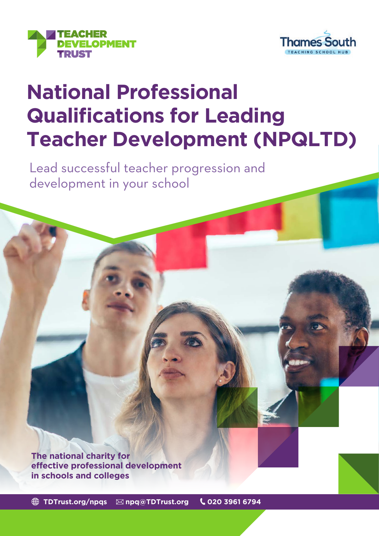



# **National Professional Qualifications for Leading Teacher Development (NPQLTD)**

Lead successful teacher progression and development in your school

**The national charity for effective professional development in schools and colleges**

**[TDTrust.org/npqs](http://TDTrust.org/npqs) [npq@TDTrust.org](mailto:npq%40TDTrust.org?subject=) 020 3961 6794**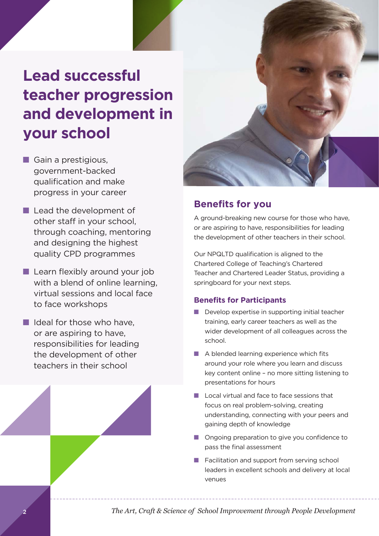## **Lead successful teacher progression and development in your school**

- $\blacksquare$  Gain a prestigious, government-backed qualification and make progress in your career
- $\blacksquare$  Lead the development of other staff in your school, through coaching, mentoring and designing the highest quality CPD programmes
- $\blacksquare$  Learn flexibly around your job with a blend of online learning. virtual sessions and local face to face workshops
- $\blacksquare$  Ideal for those who have. or are aspiring to have, responsibilities for leading the development of other teachers in their school



### **Benefits for you**

A ground-breaking new course for those who have, or are aspiring to have, responsibilities for leading the development of other teachers in their school.

Our NPQLTD qualification is aligned to the Chartered College of Teaching's Chartered Teacher and Chartered Leader Status, providing a springboard for your next steps.

#### **Benefits for Participants**

- $\blacksquare$  Develop expertise in supporting initial teacher training, early career teachers as well as the wider development of all colleagues across the school.
- $\blacksquare$  A blended learning experience which fits around your role where you learn and discuss key content online – no more sitting listening to presentations for hours
- $\blacksquare$  Local virtual and face to face sessions that focus on real problem-solving, creating understanding, connecting with your peers and gaining depth of knowledge
- n Ongoing preparation to give you confidence to pass the final assessment
- $\blacksquare$  Facilitation and support from serving school leaders in excellent schools and delivery at local venues

*The Art, Craft & Science of School Improvement through People Development*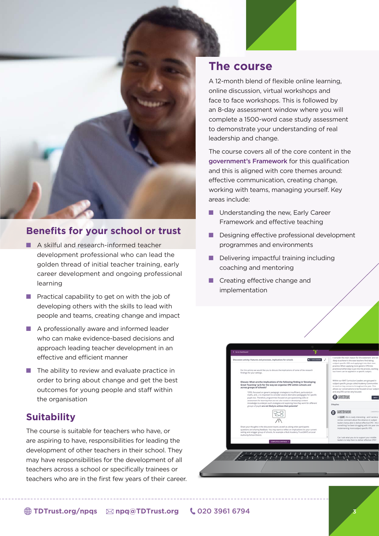

#### **Benefits for your school or trust**

- **n** A skilful and research-informed teacher development professional who can lead the golden thread of initial teacher training, early career development and ongoing professional learning
- $\blacksquare$  Practical capability to get on with the job of developing others with the skills to lead with people and teams, creating change and impact
- $\blacksquare$  A professionally aware and informed leader who can make evidence-based decisions and approach leading teacher development in an effective and efficient manner
- $\blacksquare$  The ability to review and evaluate practice in order to bring about change and get the best outcomes for young people and staff within the organisation

#### **Suitability**

The course is suitable for teachers who have, or are aspiring to have, responsibilities for leading the development of other teachers in their school. They may have responsibilities for the development of all teachers across a school or specifically trainees or teachers who are in the first few years of their career.

## **The course**

A 12-month blend of flexible online learning, online discussion, virtual workshops and face to face workshops. This is followed by an 8-day assessment window where you will complete a 1500-word case study assessment to demonstrate your understanding of real leadership and change.

The course covers all of the core content in the [government's Framework](https://assets.publishing.service.gov.uk/government/uploads/system/uploads/attachment_data/file/925511/NPQ_Leading_Teacher_Development.pdf) for this qualification and this is aligned with core themes around: effective communication, creating change, working with teams, managing yourself. Key areas include:

- **n** Understanding the new, Early Career Framework and effective teaching
- $\blacksquare$  Designing effective professional development programmes and environments
- $\blacksquare$  Delivering impactful training including coaching and mentoring
- **n** Creating effective change and implementation